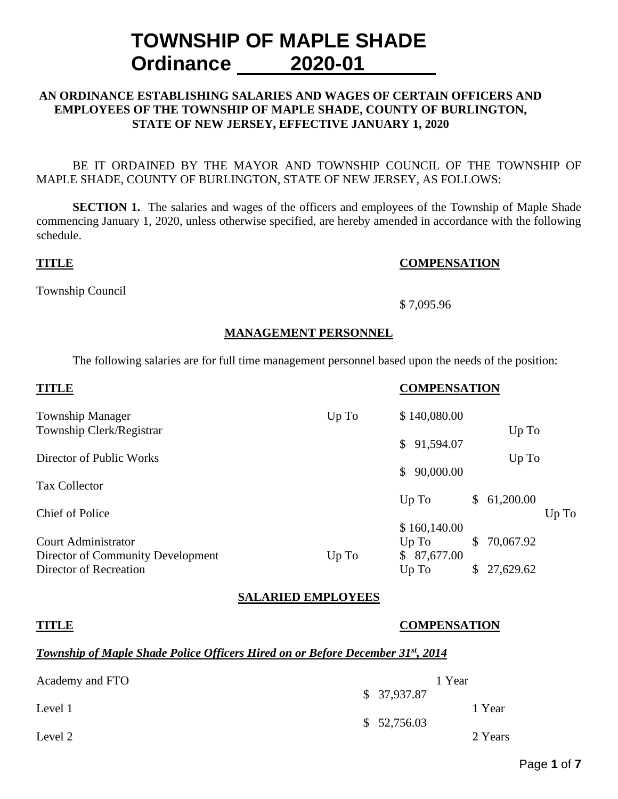# **TOWNSHIP OF MAPLE SHADE Ordinance 2020-01**

# **AN ORDINANCE ESTABLISHING SALARIES AND WAGES OF CERTAIN OFFICERS AND EMPLOYEES OF THE TOWNSHIP OF MAPLE SHADE, COUNTY OF BURLINGTON, STATE OF NEW JERSEY, EFFECTIVE JANUARY 1, 2020**

BE IT ORDAINED BY THE MAYOR AND TOWNSHIP COUNCIL OF THE TOWNSHIP OF MAPLE SHADE, COUNTY OF BURLINGTON, STATE OF NEW JERSEY, AS FOLLOWS:

**SECTION 1.** The salaries and wages of the officers and employees of the Township of Maple Shade commencing January 1, 2020, unless otherwise specified, are hereby amended in accordance with the following schedule.

#### **TITLE COMPENSATION**

Township Council

#### \$ 7,095.96

# **MANAGEMENT PERSONNEL**

The following salaries are for full time management personnel based upon the needs of the position:

| <b>TITLE</b><br><b>COMPENSATION</b> |       |                 |    |           |       |
|-------------------------------------|-------|-----------------|----|-----------|-------|
| <b>Township Manager</b>             | Up To | \$140,080.00    |    |           |       |
| Township Clerk/Registrar            |       |                 |    | Up To     |       |
| Director of Public Works            |       | 91,594.07<br>\$ |    | Up To     |       |
|                                     |       | 90,000.00<br>\$ |    |           |       |
| <b>Tax Collector</b>                |       |                 |    |           |       |
| <b>Chief of Police</b>              |       | Up To           | S. | 61,200.00 | Up To |
|                                     |       | \$160,140.00    |    |           |       |
| <b>Court Administrator</b>          |       | $Up$ To         | S. | 70,067.92 |       |
| Director of Community Development   | Up To | \$87,677.00     |    |           |       |
| Director of Recreation              |       | Up To           | S. | 27,629.62 |       |

#### **SALARIED EMPLOYEES**

### **TITLE COMPENSATION**

# *Township of Maple Shade Police Officers Hired on or Before December 31st, 2014*

| Academy and FTO | 1 Year      |
|-----------------|-------------|
|                 | \$37,937.87 |
| Level 1         | 1 Year      |
|                 | \$52,756.03 |
| Level 2         | 2 Years     |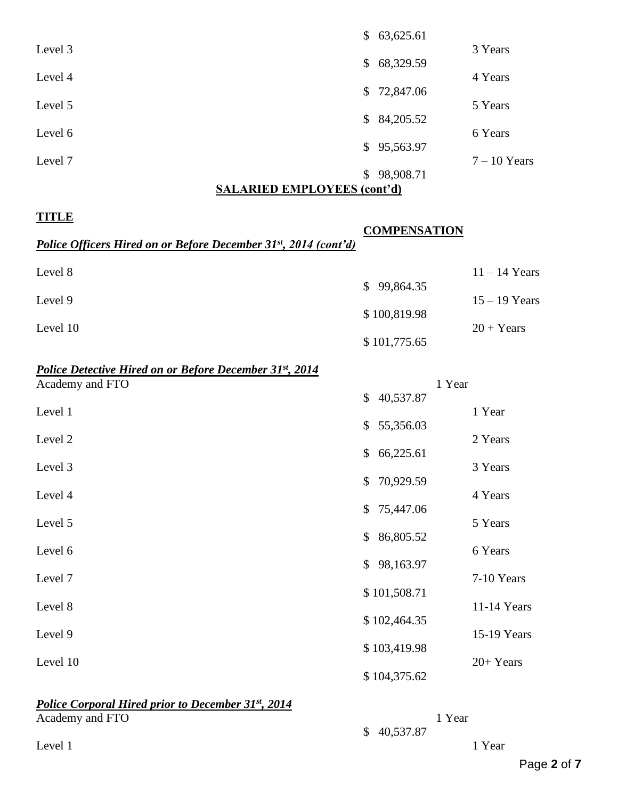|         | \$63,625.61                                               |                |
|---------|-----------------------------------------------------------|----------------|
| Level 3 |                                                           | 3 Years        |
|         | \$68,329.59                                               |                |
| Level 4 |                                                           | 4 Years        |
| Level 5 | \$72,847.06                                               | 5 Years        |
|         | \$84,205.52                                               |                |
| Level 6 |                                                           | 6 Years        |
|         | \$95,563.97                                               |                |
| Level 7 |                                                           | $7 - 10$ Years |
|         | \$98,908.71                                               |                |
|         | $Q \cup Y$ $\cup$ different $Q \cup Y$ denotes $Q \cup Y$ |                |

# **SALARIED EMPLOYEES (cont'd)**

# **TITLE**

|                                                                 | <b>COMPENSATION</b>       |                 |
|-----------------------------------------------------------------|---------------------------|-----------------|
| Police Officers Hired on or Before December 31st, 2014 (cont'd) |                           |                 |
| Level 8                                                         |                           | $11 - 14$ Years |
| Level 9                                                         | 99,864.35<br>$\mathbb{S}$ | $15 - 19$ Years |
| Level 10                                                        | \$100,819.98              | $20 + Years$    |
|                                                                 | \$101,775.65              |                 |
| <b>Police Detective Hired on or Before December 31st, 2014</b>  |                           |                 |
| Academy and FTO                                                 | 1 Year<br>40,537.87<br>\$ |                 |
| Level 1                                                         | 55,356.03<br>\$           | 1 Year          |
| Level 2                                                         |                           | 2 Years         |
| Level 3                                                         | 66,225.61<br>\$           | 3 Years         |
| Level 4                                                         | 70,929.59<br>\$           | 4 Years         |
|                                                                 | 75,447.06<br>\$           |                 |
| Level 5                                                         | 86,805.52<br>\$           | 5 Years         |
| Level 6                                                         |                           | 6 Years         |
| Level 7                                                         | 98,163.97<br>\$           | 7-10 Years      |
| Level 8                                                         | \$101,508.71              | 11-14 Years     |
|                                                                 | \$102,464.35              |                 |
| Level 9                                                         | \$103,419.98              | 15-19 Years     |
| Level 10                                                        |                           | 20+ Years       |
|                                                                 | \$104,375.62              |                 |

### *Police Corporal Hired prior to December 31st, 2014* Academy and FTO 1 Year

Level 1 Year

\$ 40,537.87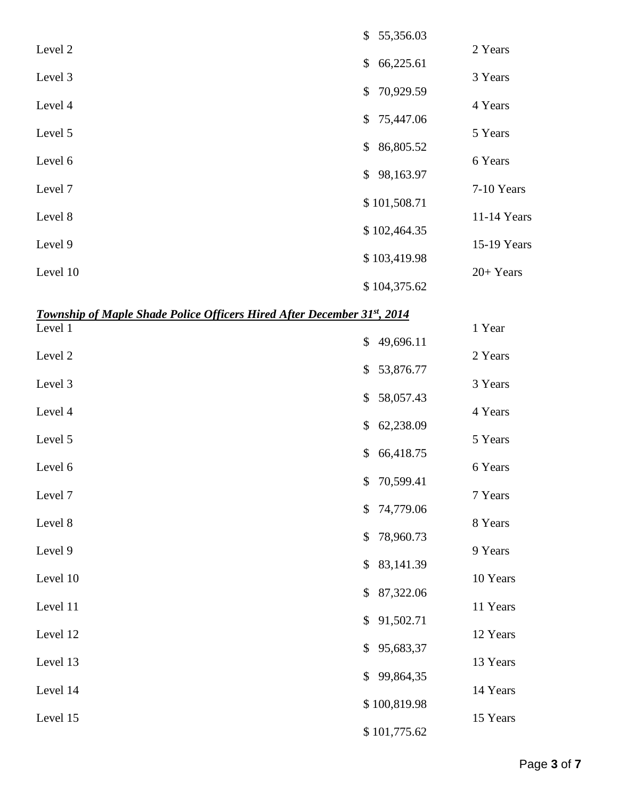|                                                                         | $\mathcal{S}$<br>55,356.03 |             |
|-------------------------------------------------------------------------|----------------------------|-------------|
| Level 2                                                                 | \$                         | 2 Years     |
| Level 3                                                                 | 66,225.61                  | 3 Years     |
| Level 4                                                                 | 70,929.59<br>\$            | 4 Years     |
| Level 5                                                                 | \$<br>75,447.06            | 5 Years     |
| Level 6                                                                 | 86,805.52<br>\$            | 6 Years     |
| Level 7                                                                 | 98,163.97<br>\$            | 7-10 Years  |
| Level 8                                                                 | \$101,508.71               | 11-14 Years |
| Level 9                                                                 | \$102,464.35               | 15-19 Years |
| Level 10                                                                | \$103,419.98               | 20+ Years   |
|                                                                         | \$104,375.62               |             |
| Township of Maple Shade Police Officers Hired After December 31st, 2014 |                            |             |
| Level 1                                                                 | \$<br>49,696.11            | 1 Year      |
| Level 2                                                                 |                            | 2 Years     |
| Level 3                                                                 | 53,876.77<br>\$            | 3 Years     |
| Level 4                                                                 | 58,057.43<br>\$            | 4 Years     |
| Level 5                                                                 | 62,238.09<br>\$            | 5 Years     |
| Level 6                                                                 | 66,418.75<br>\$            | 6 Years     |
| Level 7                                                                 | \$70,599.41                | 7 Years     |
|                                                                         | 74,779.06<br>\$            |             |
| Level 8                                                                 | 78,960.73<br>\$            | 8 Years     |
| Level 9                                                                 | 83,141.39<br>\$            | 9 Years     |
| Level 10                                                                | \$                         | 10 Years    |
| Level 11                                                                | 87,322.06                  | 11 Years    |
| Level 12                                                                | 91,502.71<br>\$            | 12 Years    |
| Level 13                                                                | 95,683,37<br>\$            | 13 Years    |
| Level 14                                                                | 99,864,35<br>\$            | 14 Years    |
| Level 15                                                                | \$100,819.98               | 15 Years    |
|                                                                         | \$101,775.62               |             |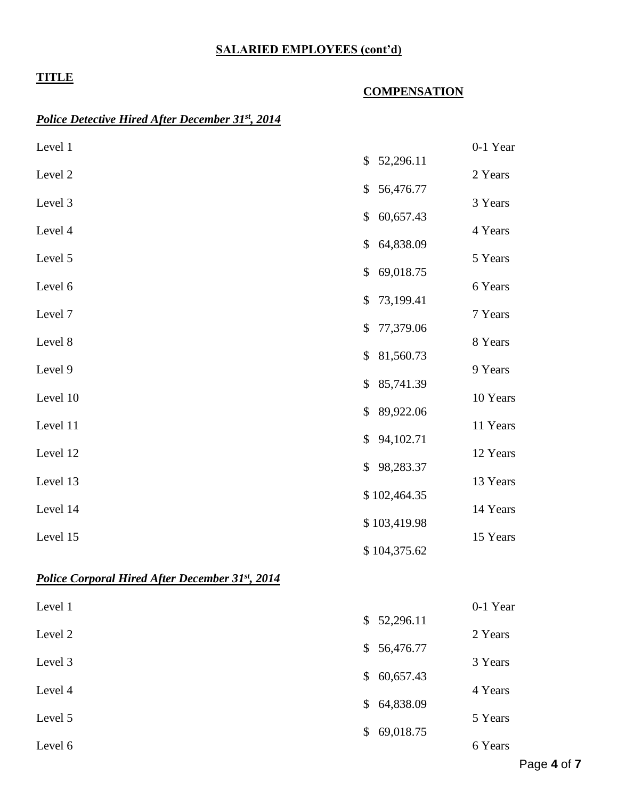# **SALARIED EMPLOYEES (cont'd)**

# **TITLE**

# **COMPENSATION**

# *Police Detective Hired After December 31st, 2014*

| Level 1                                                |                            | 0-1 Year |
|--------------------------------------------------------|----------------------------|----------|
| Level 2                                                | 52,296.11<br>\$            | 2 Years  |
| Level 3                                                | 56,476.77<br>\$            | 3 Years  |
| Level 4                                                | 60,657.43<br>\$            | 4 Years  |
| Level 5                                                | 64,838.09<br>\$            | 5 Years  |
| Level 6                                                | 69,018.75<br>\$            | 6 Years  |
| Level 7                                                | 73,199.41<br>\$            | 7 Years  |
| Level 8                                                | 77,379.06<br>\$            | 8 Years  |
| Level 9                                                | \$<br>81,560.73            | 9 Years  |
| Level 10                                               | 85,741.39<br>\$            | 10 Years |
| Level 11                                               | 89,922.06<br>\$            | 11 Years |
|                                                        | 94,102.71<br>\$            |          |
| Level 12                                               | $\mathsf{\$}$<br>98,283.37 | 12 Years |
| Level 13                                               | \$102,464.35               | 13 Years |
| Level 14                                               | \$103,419.98               | 14 Years |
| Level 15                                               | \$104,375.62               | 15 Years |
| <b>Police Corporal Hired After December 31st, 2014</b> |                            |          |
| Level 1                                                |                            | 0-1 Year |
| Level 2                                                | 52,296.11<br>\$            | 2 Years  |
| Level 3                                                | 56,476.77<br>\$            | 3 Years  |
| Level 4                                                | 60,657.43<br>\$            | 4 Years  |
| Level 5                                                | 64,838.09<br>\$            | 5 Years  |
| Level 6                                                | 69,018.75<br>\$            | 6 Years  |
|                                                        |                            |          |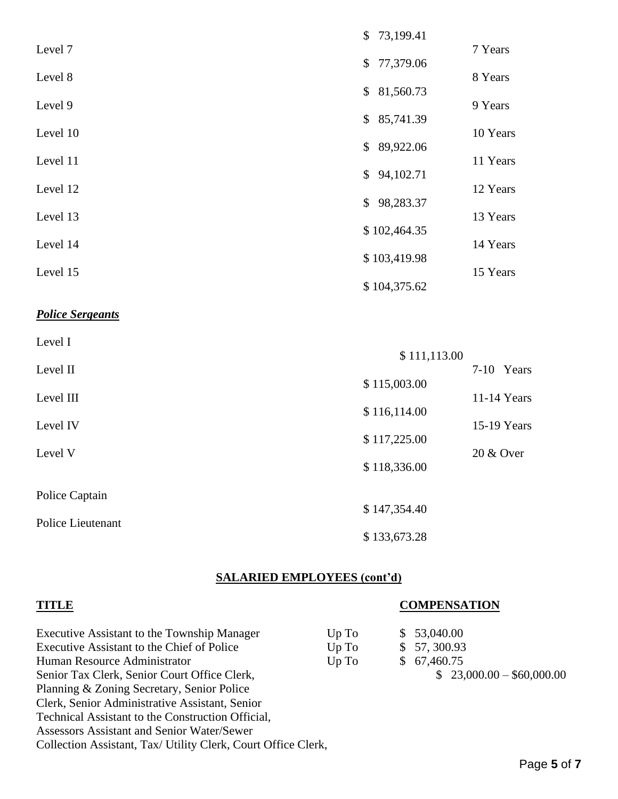|          | \$73,199.41                 |          |
|----------|-----------------------------|----------|
| Level 7  |                             | 7 Years  |
| Level 8  | \$77,379.06                 | 8 Years  |
|          | 81,560.73<br>$\mathbb{S}^-$ |          |
| Level 9  |                             | 9 Years  |
| Level 10 | \$85,741.39                 | 10 Years |
|          | \$89,922.06                 |          |
| Level 11 |                             | 11 Years |
| Level 12 | 94,102.71<br>\$             | 12 Years |
|          | 98,283.37<br>$\mathbb{S}^-$ |          |
| Level 13 |                             | 13 Years |
| Level 14 | \$102,464.35                | 14 Years |
|          | \$103,419.98                |          |
| Level 15 |                             | 15 Years |
|          | \$104,375.62                |          |

# *Police Sergeants*

| Level I           |              |  |
|-------------------|--------------|--|
|                   | \$111,113.00 |  |
| Level II          | 7-10 Years   |  |
|                   | \$115,003.00 |  |
| Level III         | 11-14 Years  |  |
|                   | \$116,114.00 |  |
| Level IV          | 15-19 Years  |  |
|                   | \$117,225.00 |  |
| Level V           | 20 & Over    |  |
|                   | \$118,336.00 |  |
|                   |              |  |
| Police Captain    |              |  |
|                   | \$147,354.40 |  |
| Police Lieutenant |              |  |
|                   | \$133,673.28 |  |

# **SALARIED EMPLOYEES (cont'd)**

| <b>TITLE</b>                                                 |       | <b>COMPENSATION</b>       |
|--------------------------------------------------------------|-------|---------------------------|
| Executive Assistant to the Township Manager                  | Up To | \$53,040.00               |
| Executive Assistant to the Chief of Police                   | Up To | \$57,300.93               |
| Human Resource Administrator                                 | Up To | \$67,460.75               |
| Senior Tax Clerk, Senior Court Office Clerk,                 |       | $$23,000.00 - $60,000.00$ |
| Planning & Zoning Secretary, Senior Police                   |       |                           |
| Clerk, Senior Administrative Assistant, Senior               |       |                           |
| Technical Assistant to the Construction Official,            |       |                           |
| Assessors Assistant and Senior Water/Sewer                   |       |                           |
| Collection Assistant, Tax/Utility Clerk, Court Office Clerk, |       |                           |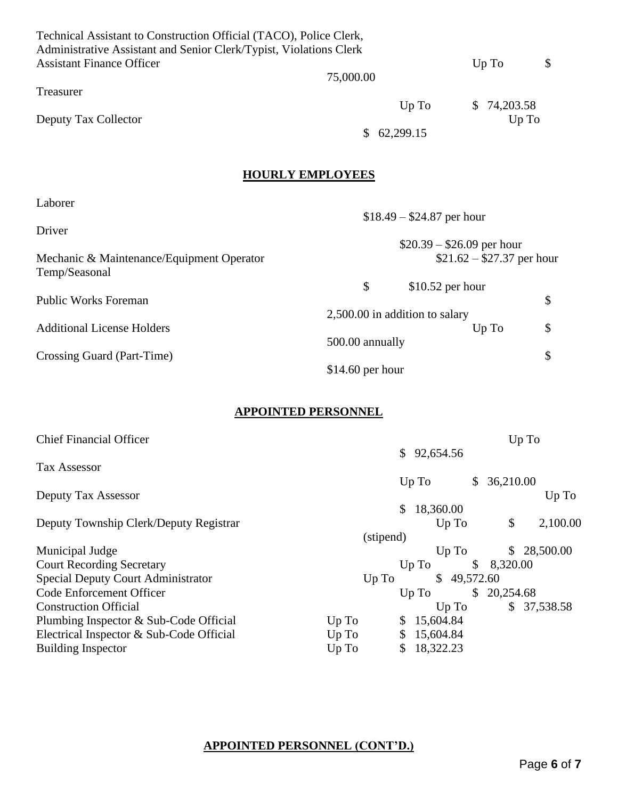| Technical Assistant to Construction Official (TACO), Police Clerk,<br>Administrative Assistant and Senior Clerk/Typist, Violations Clerk |                                |                            |               |
|------------------------------------------------------------------------------------------------------------------------------------------|--------------------------------|----------------------------|---------------|
| <b>Assistant Finance Officer</b>                                                                                                         |                                | Up To                      | \$            |
|                                                                                                                                          | 75,000.00                      |                            |               |
| Treasurer                                                                                                                                |                                |                            |               |
|                                                                                                                                          | Up To                          | 74,203.58<br><sup>S</sup>  |               |
| Deputy Tax Collector                                                                                                                     |                                |                            | Up To         |
|                                                                                                                                          | 62,299.15<br>\$                |                            |               |
|                                                                                                                                          |                                |                            |               |
|                                                                                                                                          | <b>HOURLY EMPLOYEES</b>        |                            |               |
| Laborer                                                                                                                                  |                                |                            |               |
|                                                                                                                                          | $$18.49 - $24.87$ per hour     |                            |               |
| Driver                                                                                                                                   |                                |                            |               |
|                                                                                                                                          |                                | $$20.39 - $26.09$ per hour |               |
| Mechanic & Maintenance/Equipment Operator<br>Temp/Seasonal                                                                               |                                | $$21.62 - $27.37$ per hour |               |
|                                                                                                                                          | $\mathcal{S}$                  | $$10.52$ per hour          |               |
| <b>Public Works Foreman</b>                                                                                                              |                                |                            | $\mathcal{S}$ |
|                                                                                                                                          | 2,500.00 in addition to salary |                            |               |
| <b>Additional License Holders</b>                                                                                                        |                                | Up To                      | \$            |
|                                                                                                                                          | 500.00 annually                |                            |               |
| Crossing Guard (Part-Time)                                                                                                               |                                |                            | \$            |
|                                                                                                                                          | $$14.60$ per hour              |                            |               |

# **APPOINTED PERSONNEL**

| <b>Chief Financial Officer</b>           | Up To                                 |
|------------------------------------------|---------------------------------------|
|                                          | $\mathbb{S}$<br>92,654.56             |
| <b>Tax Assessor</b>                      |                                       |
|                                          | 36,210.00<br>$Up$ To<br>$\mathbb{S}$  |
| Deputy Tax Assessor                      | Up To                                 |
|                                          | 18,360.00<br>\$                       |
| Deputy Township Clerk/Deputy Registrar   | \$<br>2,100.00<br>$Up$ To             |
|                                          | (stipend)                             |
| Municipal Judge                          | \$28,500.00<br>$Up$ To                |
| <b>Court Recording Secretary</b>         | \$8,320.00<br>Up To                   |
| Special Deputy Court Administrator       | \$49,572.60<br>Up To                  |
| Code Enforcement Officer                 | \$20,254.68<br>$Up$ To                |
| <b>Construction Official</b>             | \$37,538.58<br>$Up$ To                |
| Plumbing Inspector & Sub-Code Official   | 15,604.84<br>$Up$ To<br>S.            |
| Electrical Inspector & Sub-Code Official | 15,604.84<br>$Up$ To<br>$\mathcal{S}$ |
| <b>Building Inspector</b>                | 18,322.23<br>Up To<br>S.              |

# **APPOINTED PERSONNEL (CONT'D.)**